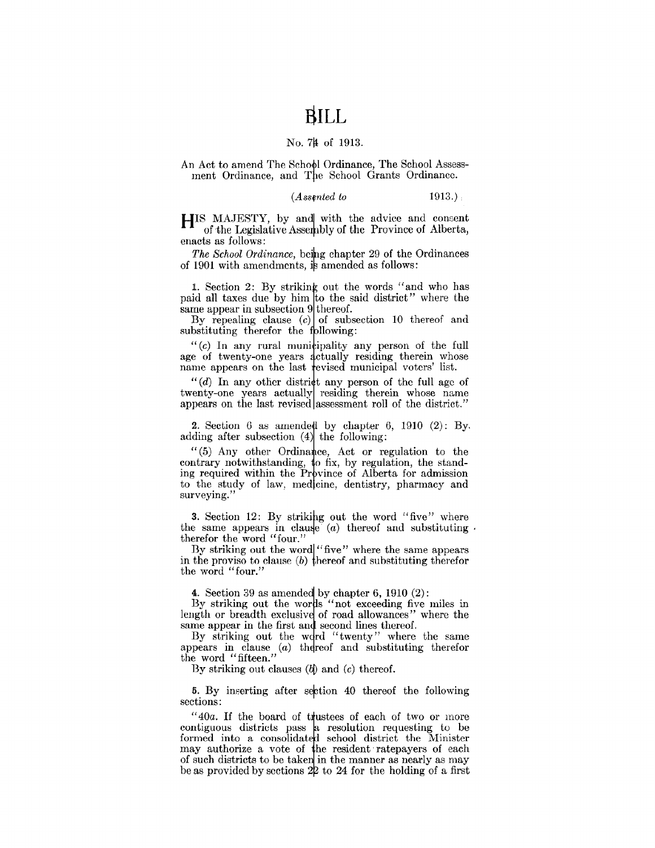## **BILL**

#### No. 74 of 1913.

An Act to amend The School Ordinance, The School Assessment Ordinance, and The School Grants Ordinance.

 $(A$ *ssented to*  $1913.)$ 

HIS MAJESTY, by and with the advice and consent of the Legislative Assembly of the Province of Alberta, enacts as follows:

*The School Ordinance,* being chapter 29 of the Ordinances of 1901 with amendments, is amended as follows:

1. Section 2: By striking out the words "and who has paid all taxes due by him to the said district" where the same appear in subsection 9 thereof.

By repealing clause  $(c)$  of subsection 10 thereof and substituting therefor the following:

" $(c)$  In any rural municipality any person of the full age of twenty-one years actually residing therein whose name appears on the last revised municipal voters' list.

 $''(d)$  In any other district any person of the full age of twenty-one years actually residing therein whose name appears on the last revised assessment roll of the district."

2. Section 6 as amended by chapter 6, 1910 (2): By. adding after subsection (4) the following:

 $(5)$  Any other Ordinance, Act or regulation to the contrary notwithstanding, to fix, by regulation, the standing required within the Province of Alberta for admission to the study of law, medicine, dentistry, pharmacy and surveying.''

3. Section 12: By striking out the word "five" where the same appears in clause (a) thereof and substituting  $\cdot$ therefor the word "four."

By striking out the word "five" where the same appears in the proviso to clause (b) thereof and substituting therefor the word "four."

4. Section 39 as amended by chapter 6,  $1910(2)$ :

By striking out the words "not exceeding five miles in length or breadth exclusive of road allowances" where the same appear in the first and second lines thereof.

By striking out the word "twenty" where the same appears in clause  $(a)$  thereof and substituting therefor the word "fifteen."

By striking out clauses  $(b)$  and  $(c)$  thereof.

**5.** By inserting after section 40 thereof the following sections:

"40a. If the board of trustees of each of two or more contiguous districts pass a resolution requesting to be formed into a consolidated school district the Minister may authorize a vote of he resident· ratepayers of each of such districts to be taken in the manner as nearly as may be as provided by sections  $2\ell$  to  $24$  for the holding of a first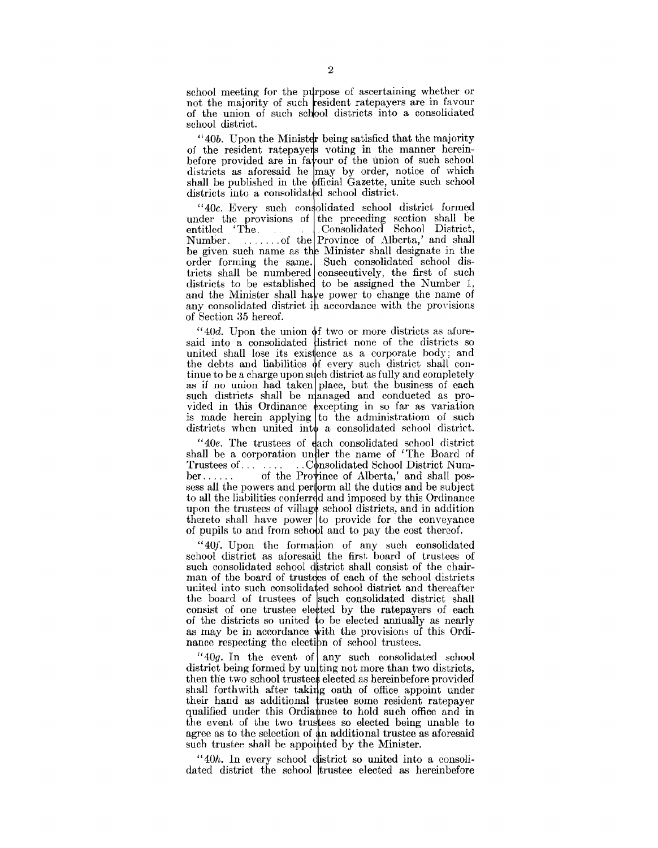school meeting for the purpose of ascertaining whether or not the majority of such resident ratepayers are in favour of the union of such school districts into a consolidated school district.

 $"40b.$  Upon the Minister being satisfied that the majority of the resident ratepayers voting in the manner hereinbefore provided are in fa  $\gamma$  our of the union of such school districts as aforesaid he may by order, notice of which shall be published in the official Gazette, unite such school districts into a consolidated school district.

 $40c$ . Every such consolidated school district formed under the provisions of the preceding section shall be entitled 'The consolidated School District, . Consolidated School District, Number. . . . . . . . of the Province of Alberta,' and shall be given such name as the Minister shall designate in the order forming the same. Such consolidated school districts shall be numbered consecutively, the first of such districts to be established to be assigned the Number  $1$ , and the Minister shall have power to change the name of any consolidated district in accordance with the provisions of Section 35 hereof.

 $40d$ . Upon the union of two or more districts as aforesaid into a consolidated district none of the districts so united shall lose its existence as a corporate body; and the debts and liabilities of every such district shall continue to be a charge upon such district as fully and completely as if no union had taken place, but the business of each such districts shall be managed and conducted as provided in this Ordinance excepting in so far as variation is made herein applying to the administration of such districts when united into a consolidated school district.

"40e. The trustees of ach consolidated school district shall be a corporation under the name of 'The Board of Trustees of... . . . . . . C nsolidated School District Numof the Province of Alberta,' and shall possess all the powers and perform all the duties and be subject to all the liabilities conferred and imposed by this Ordinance upon the trustees of village school districts, and in addition thereto shall have power to provide for the conveyance of pupils to and from school and to pay the cost thereof.

"40f. Upon the formation of any such consolidated school district as aforesaid the first board of trustees of such consolidated school district shall consist of the chairman of the board of trustees of each of the school districts united into such consolidated school district and thereafter the board of trustees of such consolidated district shall consist of one trustee elected by the ratepayers of each of the districts so united to be elected annually as nearly as may be in accordance with the provisions of this Ordinance respecting the election of school trustees.

"40g. In the event of any such consolidated school district being formed by uniting not more than two districts, then the two school trustees elected as hereinbefore provided shall forthwith after taking oath of office appoint under their hand as additional trustee some resident ratepayer qualified under this Ordiannee to hold such office and in the event of the two trustees so elected being unable to agree as to the selection of an additional trustee as aforesaid such trustee shall be appointed by the Minister.

 $``40h$ . In every school district so united into a consolidated district the school trustee elected as hereinbefore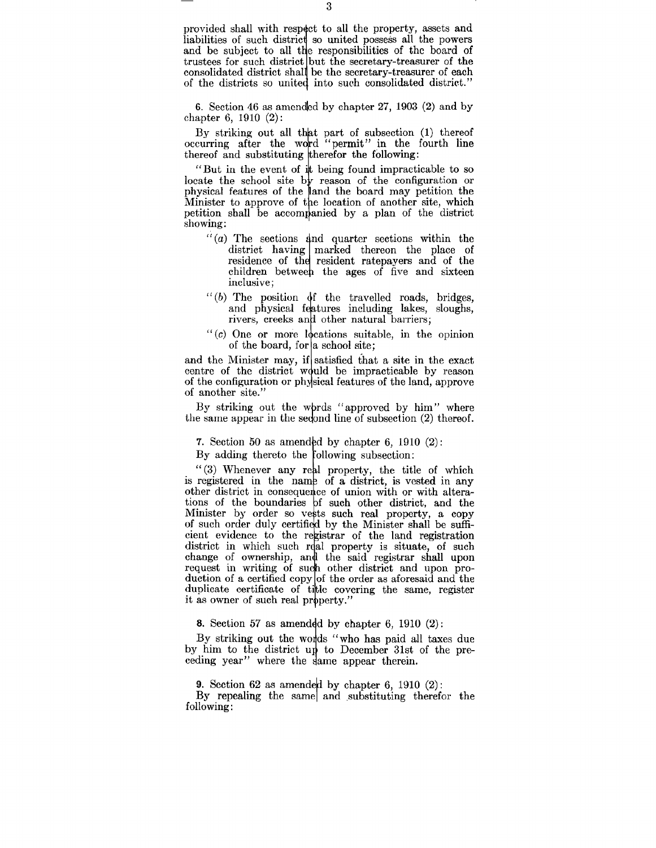provided shall with respect to all the property, assets and liabilities of such district so united possess all the powers and be subject to all the responsibilities of the board of trustees for such district but the secretary-treasurer of the consolidated district shall be the secretary-treasurer of each of the districts so united into such consolidated district."

6. Section 46 as amcndlcd by chapter 27, 1903 (2) and by chapter 6, 1910 (2):

By striking out all that part of subsection (1) thereof occurring after the word "permit" in the fourth line thereof and substituting therefor the following:

"But in the event of it being found impracticable to so locate the school site by reason of the configuration or physical features of the land the board may petition the Minister to approve of the location of another site, which petition shall be accompanied by a plan of the district showing:

- $f'(a)$  The sections and quarter sections within the district having marked thereon the place of residence of the resident ratepayers and of the children between the ages of five and sixteen inclusive;
- $``(b)$  The position  $df$  the travelled roads, bridges, and physical features including lakes, sloughs, rivers, creeks and other natural barriers;
- " $(c)$  One or more locations suitable, in the opinion of the board, for a school site;

and the Minister may, if satisfied that a site in the exact centre of the district would be impracticable by reason of the configuration or physical features of the land, approve of another site."

By striking out the words "approved by him" where the same appear in the sedond line of subsection (2) thereof.

7. Section 50 as amended by chapter 6, 1910  $(2)$ :

By adding thereto the following subsection:

"(3) Whenever any real property, the title of which is registered in the name of a district, is vested in any other district in consequence of union with or with alterations of the boundaries of such other district, and the Minister by order so vests such real property, a copy of such order duly certified by the Minister shall be sufficient evidence to the registrar of the land registration district in which such real property is situate, of such change of ownership, and the said registrar shall upon request in writing of such other district and upon production of a certified copy of the order as aforesaid and the duplicate certificate of title covering the same, register it as owner of such real property."

8. Section 57 as amended by chapter 6, 1910  $(2)$ :

By striking out the words "who has paid all taxes due by him to the district up to December 31st of the preceding year" where the same appear therein.

9. Section 62 as amended by chapter 6, 1910  $(2)$ : By repealing the same and substituting therefor the following: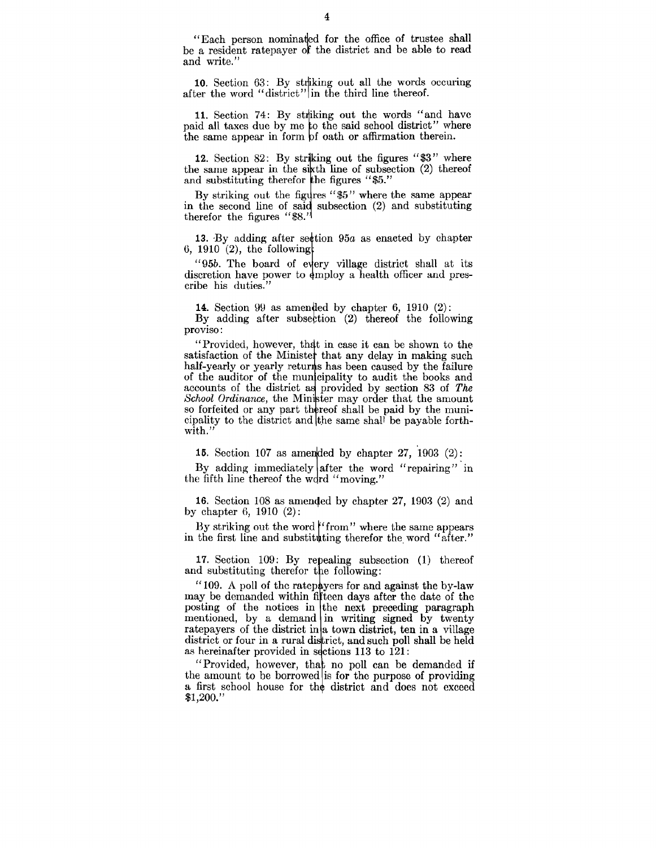"Each person nominaded for the office of trustee shall be a resident ratepayer of the district and be able to read and write."

10. Section 63: By striking out all the words occuring after the word "district" in the third line thereof.

11. Section 74: By striking out the words "and have paid all taxes due by me to the said school district" where the same appear in form of oath or affirmation therein.

12. Section 82: By striking out the figures "\$3" where the same appear in the sixth line of subsection  $(2)$  thereof and substituting therefor the figures "\$5."

By striking out the figures " $$5"$  where the same appear in the second line of said subsection  $(2)$  and substituting therefor the figures "\$8."

13. By adding after section 95a as enacted by chapter 6, 1910  $(2)$ , the following

"95b. The board of every village district shall at its discretion have power to employ a health officer and prescribe his duties."

**14.** Section 99 as amended by chapter 6, 1910  $(2)$ : By adding after subsection  $(2)$  thereof the following proviso:

"Provided, however, that in case it can be shown to the satisfaction of the Minister that any delay in making such half-yearly or yearly returns has been caused by the failure of the auditor of the municipality to audit the books and accounts of the district as provided by section 83 of *The School Ordinance*, the Minister may order that the amount so forfeited or any part thereof shall be paid by the municipality to the district and the same shall be payable forthwith.'

15. Section 107 as amended by chapter 27, 1903  $(2)$ :

By adding immediately after the word "repairing" in the fifth line thereof the word "moving."

16. Section 108 as amemfed by chapter 27, 1903 (2) and by chapter 6, 1910 (2):

By striking out the word  $^{\prime\prime}$  from" where the same appears in the first line and substituting therefor the word "after."

17. Section 109: By repealing subsection (1) thereof and substituting therefor the following:

"109. A poll of the ratepayers for and against the by-law may be demanded within fifteen days after the date of the posting of the notices in the next preceding paragraph mentioned, by a demand in writing signed by twenty ratepayers of the district in a town district, ten in a village district or four in a rural district, and such poll shall be held as hereinafter provided in sections  $113$  to  $121$ :

"Provided, however, that no poll can be demanded if the amount to be borrowed is for the purpose of providing a first school house for the district and does not exceed  $$1,200."$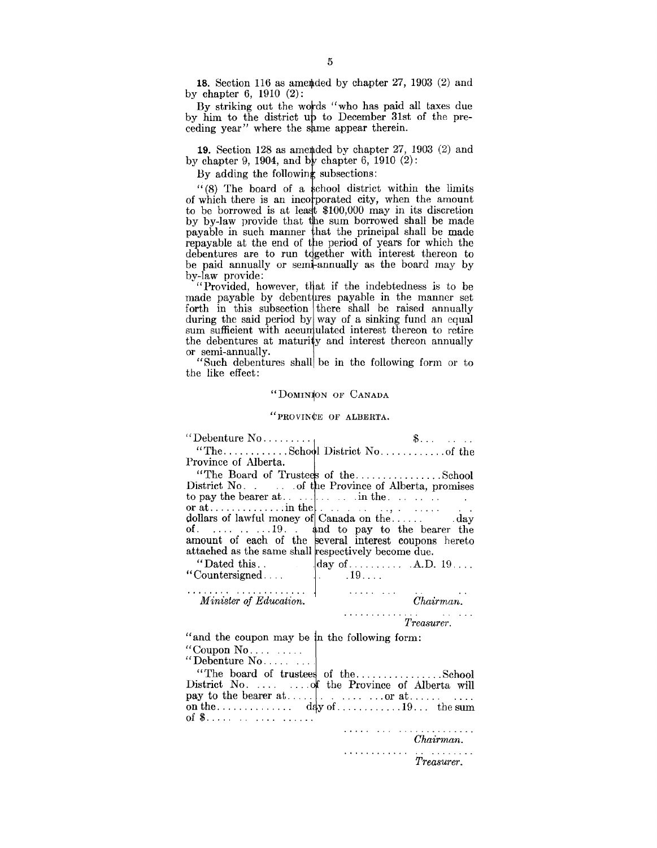18. Section 116 as amended by chapter 27, 1903  $(2)$  and by chapter 6, 1910 (2):

By striking out the wotds "who has paid all taxes due by him to the district up to December 31st of the preceding year" where the same appear therein.

19. Section 128 as a metded by chapter 27, 1903  $(2)$  and by chapter 9, 1904, and by chapter 6, 1910  $(2)$ :

By adding the following subsections:

 $(8)$  The board of a school district within the limits of which there is an incorporated city, when the amount to be borrowed is at least  $$100,000$  may in its discretion by by-law provide that the sum borrowed shall be made payable in such manner hat the principal shall be made repayable at the end of the period of years for which the debentures are to run together with interest thereon to be paid annually or semi-annually as the board may by by-law provide:

"Provided, however, that if the indebtedness is to be made payable by debentures payable in the manner set forth in this subsection there shall be raised annually during the said period by way of a sinking fund an equal sum sufficient with accumulated interest thereon to retire the debentures at maturity and interest thereon annually or semi-annually.

"Such debentures shall be in the following form or to the like effect:

#### "DOMINION OF CANADA

#### "PROVIN¢E OF ALBERTA.

|                                                     | Example 19 Suppose the set of the set of the set of the set of the set of the set of the set of the set of the set of the set of the set of the set of the set of the set of the set of the set of the set of the set of the s |
|-----------------------------------------------------|--------------------------------------------------------------------------------------------------------------------------------------------------------------------------------------------------------------------------------|
|                                                     |                                                                                                                                                                                                                                |
| Province of Alberta.                                |                                                                                                                                                                                                                                |
|                                                     | "The Board of Trustees of theSchool                                                                                                                                                                                            |
|                                                     | District No. of the Province of Alberta, promises                                                                                                                                                                              |
|                                                     |                                                                                                                                                                                                                                |
|                                                     |                                                                                                                                                                                                                                |
|                                                     | of. $\ldots$ $\ldots$ $\ldots$ 19. $\ldots$ and to pay to the bearer the                                                                                                                                                       |
|                                                     | amount of each of the several interest coupons hereto                                                                                                                                                                          |
| attached as the same shall respectively become due. |                                                                                                                                                                                                                                |
|                                                     |                                                                                                                                                                                                                                |
| "Countersigned $\Big\}$ . 19                        |                                                                                                                                                                                                                                |
| .                                                   |                                                                                                                                                                                                                                |
| Minister of Education.                              | $\overline{c}$<br>$Chairman$ .                                                                                                                                                                                                 |
|                                                     | <i>Treasurer.</i>                                                                                                                                                                                                              |
| "and the coupon may be in the following form:       |                                                                                                                                                                                                                                |
| "Coupon $No$                                        |                                                                                                                                                                                                                                |
| "Debenture $No$                                     |                                                                                                                                                                                                                                |
|                                                     | "The board of trustees of theSchool                                                                                                                                                                                            |
|                                                     | District No.   of the Province of Alberta will                                                                                                                                                                                 |
|                                                     |                                                                                                                                                                                                                                |
|                                                     |                                                                                                                                                                                                                                |
|                                                     |                                                                                                                                                                                                                                |
|                                                     | Chairman.                                                                                                                                                                                                                      |
|                                                     | .<br>Treasurer.                                                                                                                                                                                                                |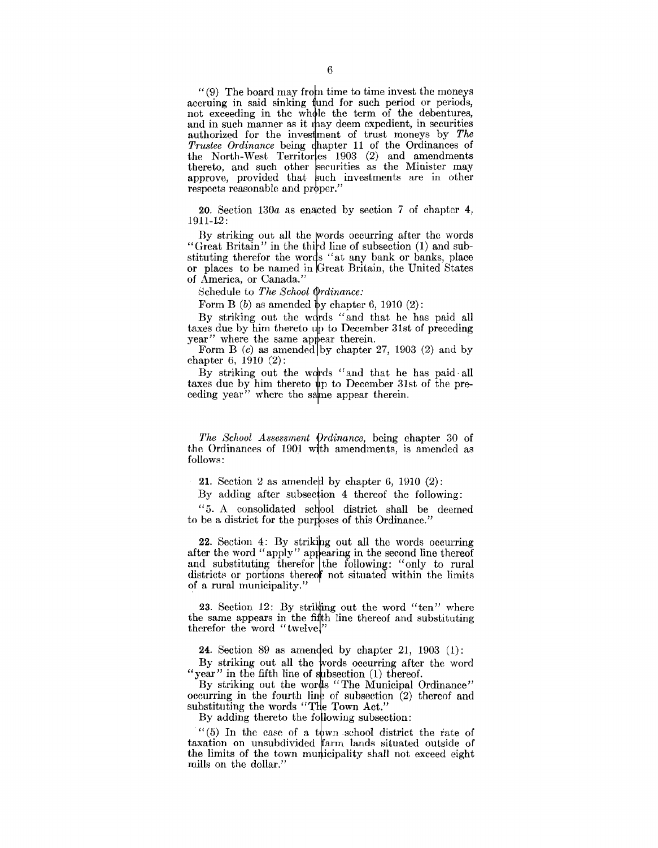$''(9)$  The board may from time to time invest the moneys accruing in said sinking fund for such period or periods, not exceeding in the whole the term of the debentures, and in such manner as it may deem expedient, in securities authorized for the investment of trust moneys by The *Trustee Ordinance* being chapter 11 of the Ordinances of the North-West Territories 1903 (2) and amendments thereto, and such other securities as the Minister may approve, provided that such investments are in other respects reasonable and proper."

20. Section 130a as enacted by section 7 of chapter 4, 1911-12:

By striking out all the words occurring after the words "Great Britain" in the third line of subsection (1) and substituting therefor the words "at any bank or banks, place or places to be named in Great Britain, the United States of America, or Canada."

Schedule to *The School Ordinance*:

Form B  $(b)$  as amended by chapter 6, 1910  $(2)$ :

By striking out the words "and that he has paid all taxes due by him thereto up to December 31st of preceding year" where the same appear therein.

Form B  $(c)$  as amended by chapter 27, 1903  $(2)$  and by chapter 6, 1910 (2):

By striking out the words "and that he has paid all taxes due by him thereto  $\psi$  to December 31st of the preceding year" where the same appear therein.

*The School Assessment Ordinance,* being chapter 30 of the Ordinances of 1901 with amendments, is amended as follows:

**21.** Section 2 as amended by chapter 6, 1910 (2):

By adding after subsection 4 thereof the following:

"5. A consolidated school district shall be deemed to be a district for the purposes of this Ordinance."

22. Section 4: By striking out all the words occurring after the word "apply" appearing in the second line thereof and substituting therefor the following: "only to rural districts or portions thereof not situated within the limits of a rural municipality."

23. Section 12: By striking out the word "ten" where the same appears in the fifth line thereof and substituting therefor the word "twelve!"

**24.** Section 89 as amended by chapter 21, 1903  $(1)$ :

By striking out all the words occurring after the word "year" in the fifth line of subsection  $(1)$  thereof.

By striking out the words "The Municipal Ordinance" occurring in the fourth line of subsection  $(2)$  thereof and substituting the words "The Town Act."

By adding thereto the following subsection:

 $(6)$  In the case of a town school district the rate of taxation on unsubdivided farm lands situated outside of the limits of the town municipality shall not exceed eight mills on the dollar."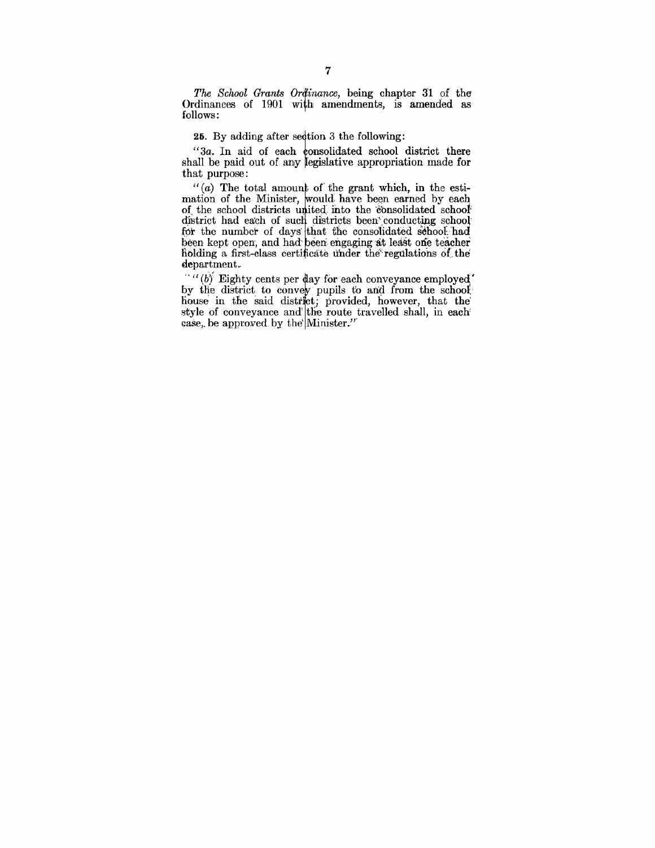*The School Grants Ordinance*, being chapter 31 of the. Ordinances of 1901 with amendments, is amended as follows:

25. By adding after section 3 the following:

"3a. In aid of each consolidated school district there shall be paid out of any legislative appropriation made for that purpose:

 $''(a)$  The total amount of the grant which, in the estimation of the Minister, would have been earned by each of the school districts united into the consolidated school district had each of such districts been conducting school for the number of days that the consolidated school had been kept open, and had been engaging at least one teacher holding a first-class certificate under the regulations of the

department.<br>  $\mathbf{a} \cdot \mathbf{b}$  Eighty cents per day for each conveyance employed.  $''''(b)$  Eighty cents per day for each conveyance employed' by the district to convey pupils to and from the school house in the said district; provided, however, that the style of conveyance and the route travelled shall, in each case, be approved by the Minister."